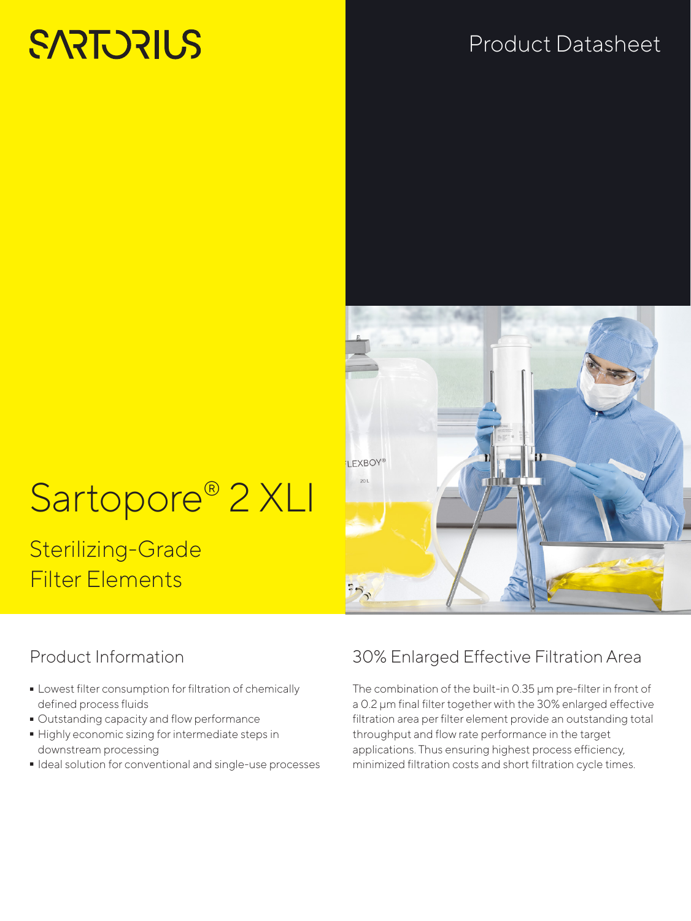# **SARTORIUS**

# Product Datasheet

# Sartopore<sup>®</sup> 2 XLI

# Sterilizing-Grade Filter Elements

# I EXBOY®

# Product Information

- Lowest filter consumption for filtration of chemically<br>defined process fluids<br>- Outstanding capacity and flow performance defined process fluids
- 
- Outstanding capacity and flow performance<br>• Highly economic sizing for intermediate step - Highly economic sizing for intermediate steps in downstream processing
- Ideal solution for conventional and single-use processes

# 30% Enlarged Effective Filtration Area

The combination of the built-in 0.35 μm pre-filter in front of a 0.2 μm final filter together with the 30% enlarged effective filtration area per filter element provide an outstanding total throughput and flow rate performance in the target applications. Thus ensuring highest process efficiency, minimized filtration costs and short filtration cycle times.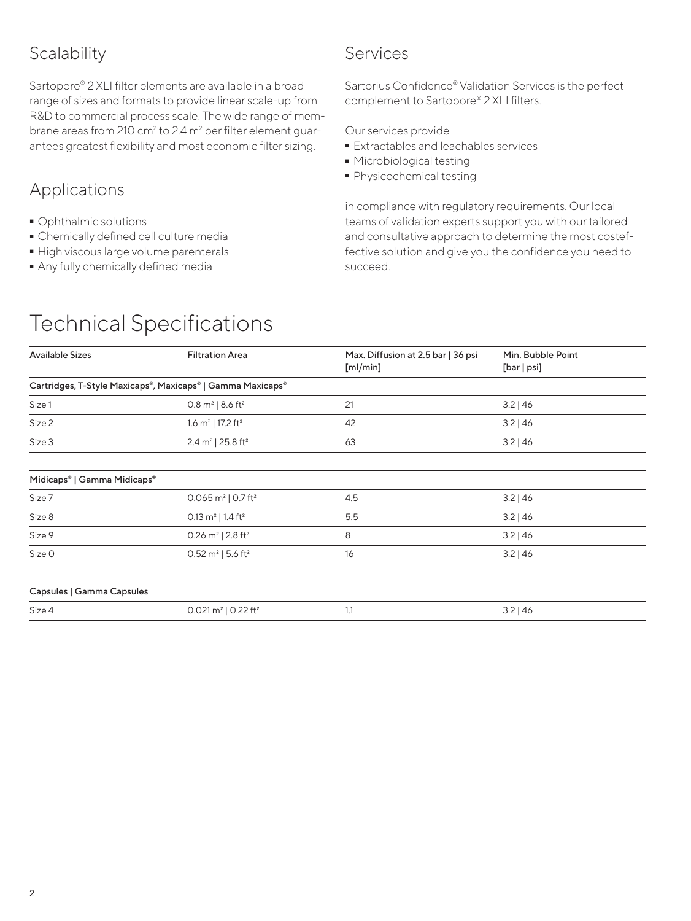# **Scalability**

Sartopore® 2 XLI filter elements are available in a broad range of sizes and formats to provide linear scale-up from R&D to commercial process scale. The wide range of membrane areas from 210  $\text{cm}^2$  to 2.4  $\text{m}^2$  per filter element guarantees greatest flexibility and most economic filter sizing.

# Applications

- 
- Ophthalmic solutions<br>• Chemically defined cell culture media
- High viscous large volume parenterals
- High viscous large volume parenterals  $\bullet$  Any fully chemically defined media<br>

# Services

Sartorius Confidence® Validation Services is the perfect complement to Sartopore® 2 XLI filters.

Our services provide

- **Extractables and leachables services**<br>• Microbiological testing
- 
- Microbiological testing<br>■ Physicochemical testin  $\overline{\phantom{a}}$  Physicochemical testing<br>

in compliance with regulatory requirements. Our local teams of validation experts support you with our tailored and consultative approach to determine the most costeffective solution and give you the confidence you need to succeed.

| <b>Available Sizes</b>                  | <b>Filtration Area</b>                                     | Max. Diffusion at 2.5 bar   36 psi<br>[m]/min] | Min. Bubble Point<br>[bar   psi] |  |  |
|-----------------------------------------|------------------------------------------------------------|------------------------------------------------|----------------------------------|--|--|
|                                         | Cartridges, T-Style Maxicaps®, Maxicaps®   Gamma Maxicaps® |                                                |                                  |  |  |
| Size 1                                  | $0.8 \text{ m}^2$   8.6 ft <sup>2</sup>                    | 21                                             | $3.2$   46                       |  |  |
| Size 2                                  | 1.6 $m^2$   17.2 ft <sup>2</sup>                           | 42                                             | $3.2$   46                       |  |  |
| Size 3                                  | 2.4 m <sup>2</sup>   25.8 ft <sup>2</sup>                  | 63                                             | $3.2$   46                       |  |  |
|                                         |                                                            |                                                |                                  |  |  |
| Midicaps <sup>®</sup>   Gamma Midicaps® |                                                            |                                                |                                  |  |  |
| Size 7                                  | 0.065 $m^2$   0.7 ft <sup>2</sup>                          | 4.5                                            | $3.2$   46                       |  |  |
| Size 8                                  | 0.13 $m^2$   1.4 ft <sup>2</sup>                           | 5.5                                            | $3.2$   46                       |  |  |
| Size 9                                  | 0.26 m <sup>2</sup>   2.8 ft <sup>2</sup>                  | 8                                              | $3.2$   46                       |  |  |
| Size O                                  | $0.52 \text{ m}^2$   5.6 ft <sup>2</sup>                   | 16                                             | $3.2$   46                       |  |  |
|                                         |                                                            |                                                |                                  |  |  |
| Capsules   Gamma Capsules               |                                                            |                                                |                                  |  |  |
| Size 4                                  | 0.021 $m^2$   0.22 ft <sup>2</sup>                         | 1.1                                            | $3.2$   46                       |  |  |
|                                         |                                                            |                                                |                                  |  |  |

# Technical Specifications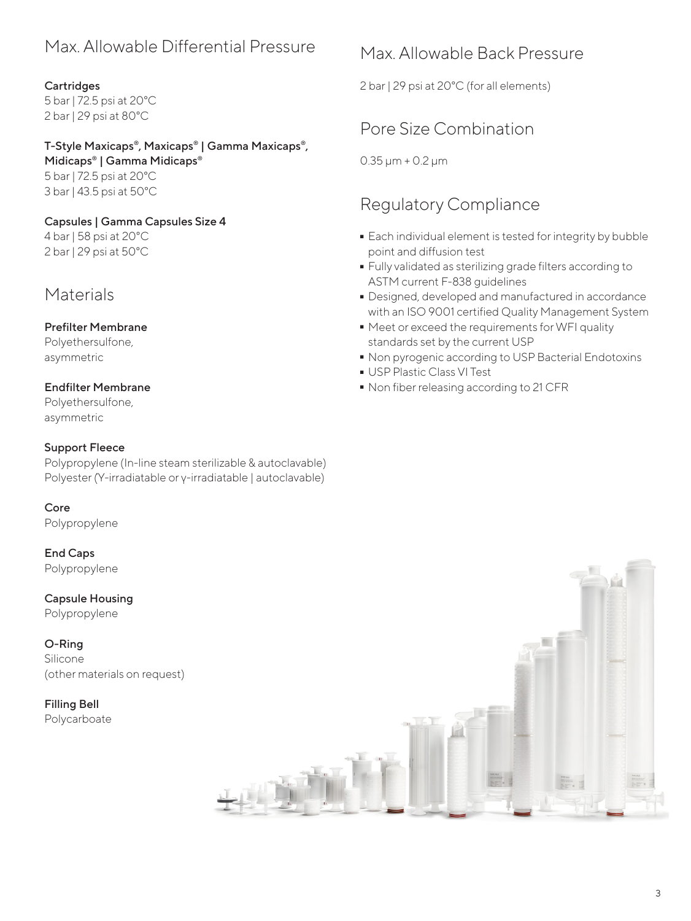# Max. Allowable Differential Pressure

#### **Cartridges**

5 bar | 72.5 psi at 20°C 2 bar | 29 psi at 80°C

## T-Style Maxicaps®, Maxicaps® | Gamma Maxicaps®,

Midicaps® | Gamma Midicaps® 5 bar | 72.5 psi at 20°C 3 bar | 43.5 psi at 50°C

#### Capsules | Gamma Capsules Size 4

4 bar | 58 psi at 20°C 2 bar | 29 psi at 50°C

# **Materials**

#### Prefilter Membrane

Polyethersulfone, asymmetric

## Endfilter Membrane

Polyethersulfone, asymmetric

#### Support Fleece

Polypropylene (In-line steam sterilizable & autoclavable) Polyester (Ύ-irradiatable or γ-irradiatable | autoclavable)

Core Polypropylene

End Caps Polypropylene

Capsule Housing Polypropylene

O-Ring Silicone (other materials on request)

Filling Bell Polycarboate

# Max. Allowable Back Pressure

2 bar | 29 psi at 20°C (for all elements)

# Pore Size Combination

0.35 μm + 0.2 μm

# Regulatory Compliance

- **Each individual element is tested for integrity by bubble** point and diffusion test
- Fully validated as sterilizing grade filters according to<br>ASTM current F-838 guidelines<br>- Designed, developed and manufactured in accordance ASTM current F-838 guidelines
- Designed, developed and manufactured in accordance with an ISO 9001 certified Quality Management System
- Meet or exceed the requirements for WFI quality standards set by the current USP
- Non pyrogenic according to USP Bacterial Endotoxins<br>• USP Plastic Class VI Test
- 
- USP Plastic Class VI Test<br>■ Non fiber releasing accor  $\bullet$  Non fiber releasing according to 21 CFR<br>

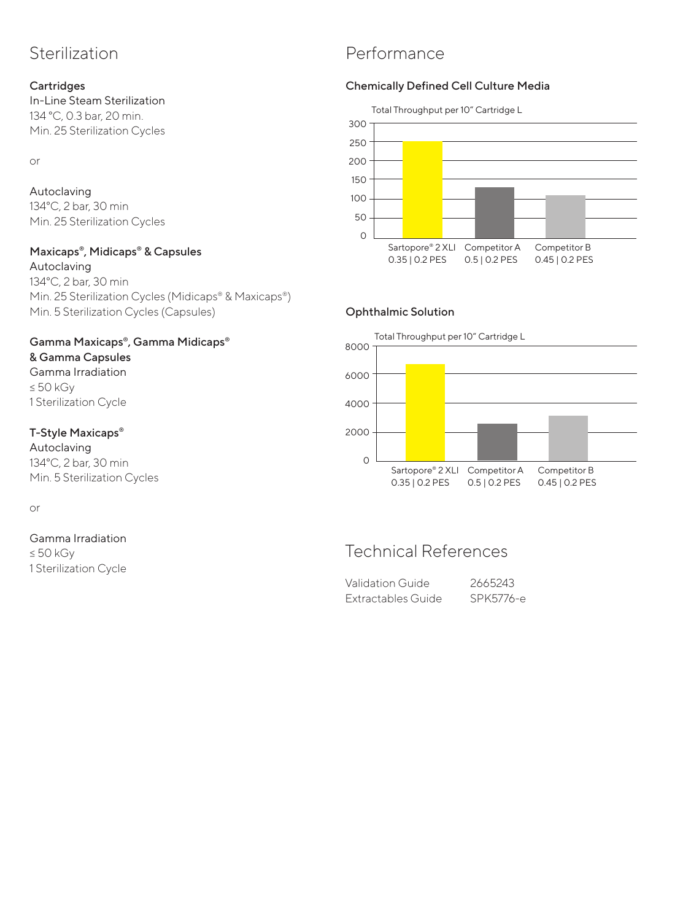# Sterilization

#### **Cartridges**

In-Line Steam Sterilization 134 °C, 0.3 bar, 20 min. Min. 25 Sterilization Cycles

or

#### Autoclaving 134°C, 2 bar, 30 min Min. 25 Sterilization Cycles

#### Maxicaps®, Midicaps® & Capsules

Autoclaving 134°C, 2 bar, 30 min Min. 25 Sterilization Cycles (Midicaps® & Maxicaps®) Min. 5 Sterilization Cycles (Capsules)

#### Gamma Maxicaps®, Gamma Midicaps® & Gamma Capsules

Gamma Irradiation ≤ 50 kGy 1 Sterilization Cycle

#### T-Style Maxicaps®

Autoclaving 134°C, 2 bar, 30 min Min. 5 Sterilization Cycles

or

#### Gamma Irradiation

≤ 50 kGy 1 Sterilization Cycle

# Performance

#### Chemically Defined Cell Culture Media



#### Ophthalmic Solution



# Technical References

| Validation Guide   | 2665243   |
|--------------------|-----------|
| Extractables Guide | SPK5776-e |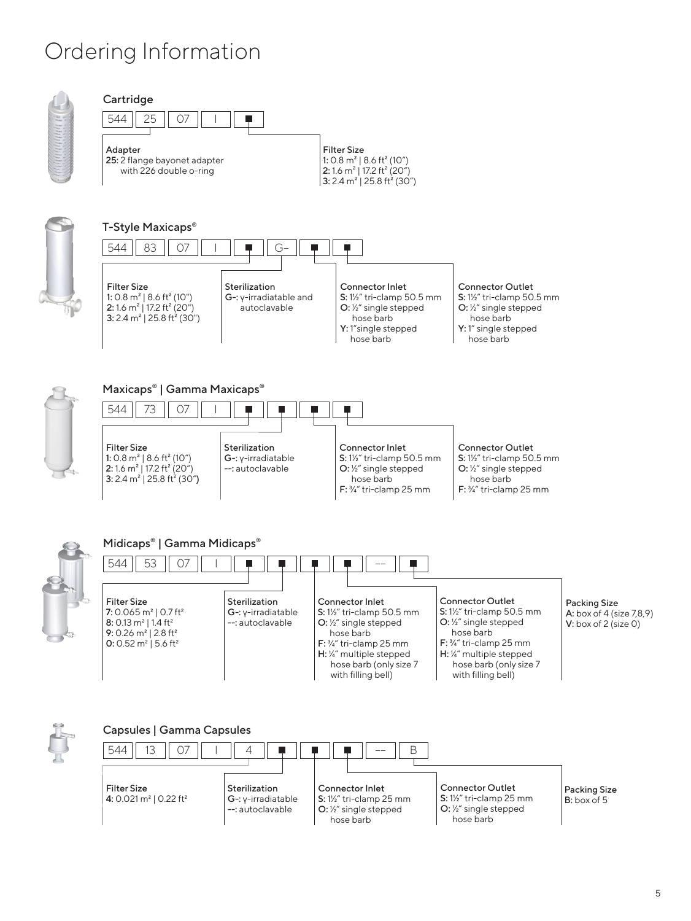# Ordering Information



#### $544$  | 25 | 07 **Cartridge** Filter Size 1: 0.8 m<sup>2</sup> | 8.6 ft<sup>2</sup> (10") 2: 1.6 m² | 17.2 ft² (20") 3: 2.4 m<sup>2</sup> | 25.8 ft<sup>2</sup> (30") Adapter 25: 2 flange bayonet adapter with 226 double o-ring





#### Maxicaps® | Gamma Maxicaps®

| 544<br>$\gamma$                                                                                                                                                            |                                                            |                                                                                                                                            |                                                                                                                                  |
|----------------------------------------------------------------------------------------------------------------------------------------------------------------------------|------------------------------------------------------------|--------------------------------------------------------------------------------------------------------------------------------------------|----------------------------------------------------------------------------------------------------------------------------------|
| <b>Filter Size</b><br>1: 0.8 m <sup>2</sup>   8.6 ft <sup>2</sup> (10")<br>2: 1.6 m <sup>2</sup>   17.2 ft <sup>2</sup> (20")<br>3: 2.4 $m^2$   25.8 ft <sup>2</sup> (30") | Sterilization<br>$G-$ : y-irradiatable<br>--: autoclavable | <b>Connector Inlet</b><br>$S: 1\frac{1}{2}$ tri-clamp 50.5 mm<br>$Q: \frac{1}{2}$ single stepped<br>hose barb<br>$F:$ 3/4" tri-clamp 25 mm | <b>Connector Outlet</b><br>S: 1½" tri-clamp 50.5 mm<br>$Q: \frac{1}{2}$ single stepped<br>hose barb<br>$F:$ 3/4" tri-clamp 25 mm |



## Midicaps® | Gamma Midicaps®